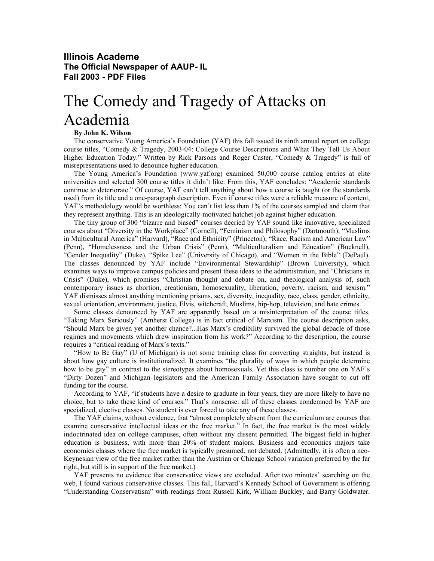## **Illinois Academe The Official Newspaper of AAUP- IL Fall 2003 - PDF Files**

## The Comedy and Tragedy of Attacks on Academia

## **By John K. Wilson**

The conservative Young America's Foundation (YAF) this fall issued its ninth annual report on college course titles, "Comedy & Tragedy, 2003-04: College Course Descriptions and What They Tell Us About Higher Education Today." Written by Rick Parsons and Roger Custer, "Comedy & Tragedy" is full of misrepresentations used to denounce higher education.

The Young America's Foundation (www.yaf.org) examined 50,000 course catalog entries at elite universities and selected 300 course titles it didn't like. From this, YAF concludes: "Academic standards continue to deteriorate." Of course, YAF can't tell anything about how a course is taught (or the standards used) from its title and a one-paragraph description. Even if course titles were a reliable measure of content, YAF's methodology would be worthless: You can't list less than 1% of the courses sampled and claim that they represent anything. This is an ideologically-motivated hatchet job against higher education.

The tiny group of 300 "bizarre and biased" courses decried by YAF sound like innovative, specialized courses about "Diversity in the Workplace" (Cornell), "Feminism and Philosophy" (Dartmouth), "Muslims in Multicultural America" (Harvard), "Race and Ethnicity" (Princeton), "Race, Racism and American Law" (Penn), "Homelessness and the Urban Crisis" (Penn), "Multiculturalism and Education" (Bucknell), "Gender Inequality" (Duke), "Spike Lee" (University of Chicago), and "Women in the Bible" (DePaul). The classes denounced by YAF include "Environmental Stewardship" (Brown University), which examines ways to improve campus policies and present these ideas to the administration, and "Christians in Crisis" (Duke), which promises "Christian thought and debate on, and theological analysis of, such contemporary issues as abortion, creationism, homosexuality, liberation, poverty, racism, and sexism." YAF dismisses almost anything mentioning prisons, sex, diversity, inequality, race, class, gender, ethnicity, sexual orientation, environment, justice, Elvis, witchcraft, Muslims, hip-hop, television, and hate crimes.

Some classes denounced by YAF are apparently based on a misinterpretation of the course titles. "Taking Marx Seriously" (Amherst College) is in fact critical of Marxism. The course description asks, "Should Marx be given yet another chance?...Has Marx's credibility survived the global debacle of those regimes and movements which drew inspiration from his work?" According to the description, the course requires a "critical reading of Marx's texts."

"How to Be Gay" (U of Michigan) is not some training class for converting straights, but instead is about how gay culture is institutionalized. It examines "the plurality of ways in which people determine how to be gay" in contrast to the stereotypes about homosexuals. Yet this class is number one on YAF's "Dirty Dozen" and Michigan legislators and the American Family Association have sought to cut off funding for the course.

According to YAF, "if students have a desire to graduate in four years, they are more likely to have no choice, but to take these kind of courses." That's nonsense: all of these classes condemned by YAF are specialized, elective classes. No student is ever forced to take any of these classes.

The YAF claims, without evidence, that "almost completely absent from the curriculum are courses that examine conservative intellectual ideas or the free market." In fact, the free market is the most widely indoctrinated idea on college campuses, often without any dissent permitted. The biggest field in higher education is business, with more than 20% of student majors. Business and economics majors take economics classes where the free market is typically presumed, not debated. (Admittedly, it is often a neo-Keynesian view of the free market rather than the Austrian or Chicago School variation preferred by the far right, but still is in support of the free market.)

YAF presents no evidence that conservative views are excluded. After two minutes' searching on the web, I found various conservative classes. This fall, Harvard's Kennedy School of Government is offering "Understanding Conservatism" with readings from Russell Kirk, William Buckley, and Barry Goldwater.